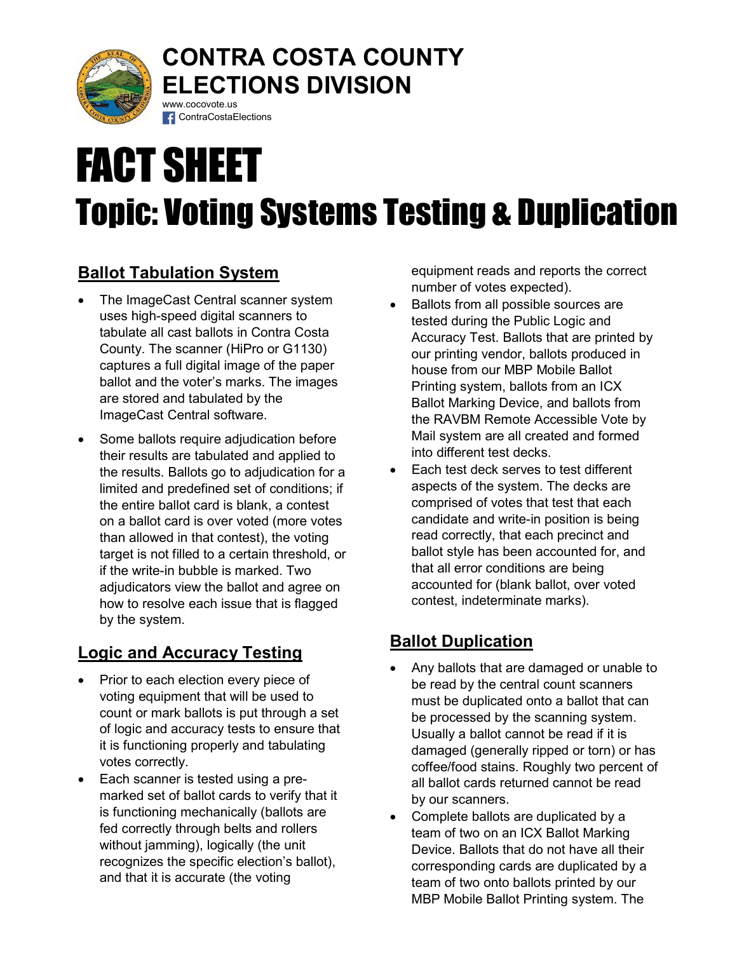

### CONTRA COSTA COUNTY ELECTIONS DIVISION www.cocovote.us

# FACT SHEET Topic: Voting Systems Testing & Duplication

# Ballot Tabulation System

 The ImageCast Central scanner system uses high-speed digital scanners to tabulate all cast ballots in Contra Costa County. The scanner (HiPro or G1130) captures a full digital image of the paper ballot and the voter's marks. The images are stored and tabulated by the ImageCast Central software.

**f** ContraCostaElections

 Some ballots require adjudication before their results are tabulated and applied to the results. Ballots go to adjudication for a limited and predefined set of conditions; if the entire ballot card is blank, a contest on a ballot card is over voted (more votes than allowed in that contest), the voting target is not filled to a certain threshold, or if the write-in bubble is marked. Two adjudicators view the ballot and agree on how to resolve each issue that is flagged by the system.

## Logic and Accuracy Testing

- Prior to each election every piece of voting equipment that will be used to count or mark ballots is put through a set of logic and accuracy tests to ensure that it is functioning properly and tabulating votes correctly.
- Each scanner is tested using a premarked set of ballot cards to verify that it is functioning mechanically (ballots are fed correctly through belts and rollers without jamming), logically (the unit recognizes the specific election's ballot), and that it is accurate (the voting

equipment reads and reports the correct number of votes expected).

- Ballots from all possible sources are tested during the Public Logic and Accuracy Test. Ballots that are printed by our printing vendor, ballots produced in house from our MBP Mobile Ballot Printing system, ballots from an ICX Ballot Marking Device, and ballots from the RAVBM Remote Accessible Vote by Mail system are all created and formed into different test decks.
- Each test deck serves to test different aspects of the system. The decks are comprised of votes that test that each candidate and write-in position is being read correctly, that each precinct and ballot style has been accounted for, and that all error conditions are being accounted for (blank ballot, over voted contest, indeterminate marks).

#### Ballot Duplication

- Any ballots that are damaged or unable to be read by the central count scanners must be duplicated onto a ballot that can be processed by the scanning system. Usually a ballot cannot be read if it is damaged (generally ripped or torn) or has coffee/food stains. Roughly two percent of all ballot cards returned cannot be read by our scanners.
- Complete ballots are duplicated by a team of two on an ICX Ballot Marking Device. Ballots that do not have all their corresponding cards are duplicated by a team of two onto ballots printed by our MBP Mobile Ballot Printing system. The